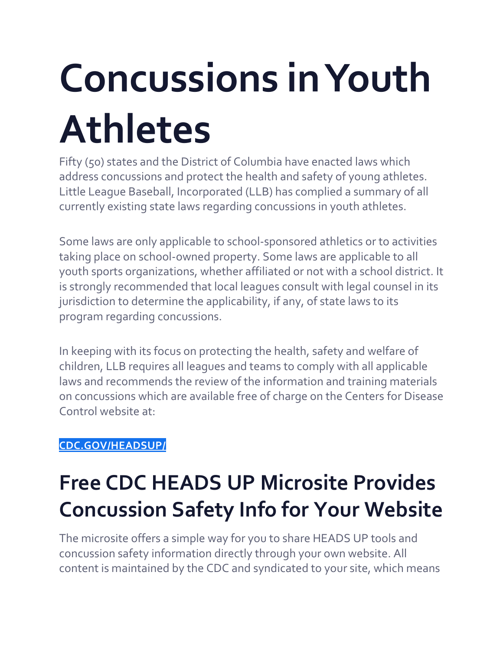# **Concussions in Youth Athletes**

Fifty (50) states and the District of Columbia have enacted laws which address concussions and protect the health and safety of young athletes. Little League Baseball, Incorporated (LLB) has complied a summary of all currently existing state laws regarding concussions in youth athletes.

Some laws are only applicable to school-sponsored athletics or to activities taking place on school-owned property. Some laws are applicable to all youth sports organizations, whether affiliated or not with a school district. It is strongly recommended that local leagues consult with legal counsel in its jurisdiction to determine the applicability, if any, of state laws to its program regarding concussions.

In keeping with its focus on protecting the health, safety and welfare of children, LLB requires all leagues and teams to comply with all applicable laws and recommends the review of the information and training materials on concussions which are available free of charge on the Centers for Disease Control website at:

### **[CDC.GOV/HEADSUP/](http://www.cdc.gov/headsup/)**

## **Free CDC HEADS UP Microsite Provides Concussion Safety Info for Your Website**

The microsite offers a simple way for you to share HEADS UP tools and concussion safety information directly through your own website. All content is maintained by the CDC and syndicated to your site, which means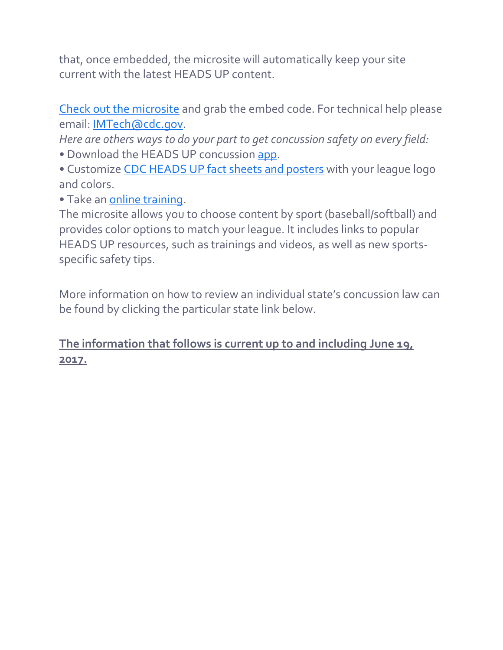that, once embedded, the microsite will automatically keep your site current with the latest HEADS UP content.

Check out the [microsite](https://tools.cdc.gov/medialibrary/index.aspx#/microsite/id/133735) and grab the embed code. For technical help please email: [IMTech@cdc.gov.](mailto:IMTech@cdc.gov)

*Here are others ways to do your part to get concussion safety on every field:* • Download the HEADS UP concussion [app.](http://www.cdc.gov/headsup/resources/app.html)

• Customize CDC [HEADS](http://www.cdc.gov/headsup/resources/custom.html) UP fact sheets and posters with your league logo and colors.

• Take an online [training.](http://www.cdc.gov/headsup/resources/training.html)

The microsite allows you to choose content by sport (baseball/softball) and provides color options to match your league. It includes links to popular HEADS UP resources, such as trainings and videos, as well as new sportsspecific safety tips.

More information on how to review an individual state's concussion law can be found by clicking the particular state link below.

### **The information that follows is current up to and including June 19, 2017.**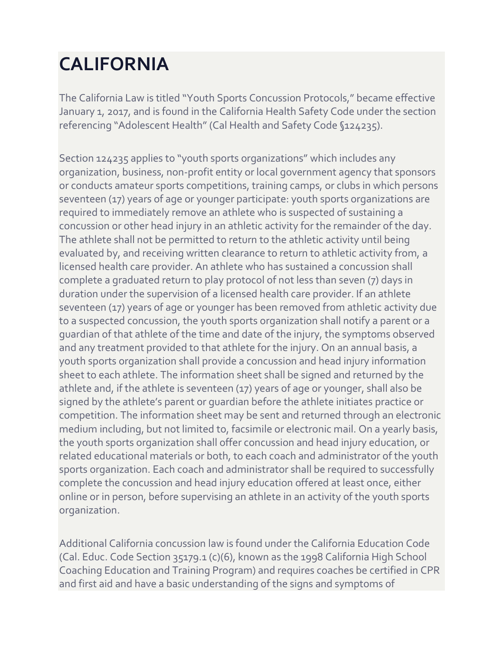## **CALIFORNIA**

The California Law is titled "Youth Sports Concussion Protocols," became effective January 1, 2017, and is found in the California Health Safety Code under the section referencing "Adolescent Health" (Cal Health and Safety Code §124235).

Section 124235 applies to "youth sports organizations" which includes any organization, business, non-profit entity or local government agency that sponsors or conducts amateur sports competitions, training camps, or clubs in which persons seventeen (17) years of age or younger participate: youth sports organizations are required to immediately remove an athlete who is suspected of sustaining a concussion or other head injury in an athletic activity for the remainder of the day. The athlete shall not be permitted to return to the athletic activity until being evaluated by, and receiving written clearance to return to athletic activity from, a licensed health care provider. An athlete who has sustained a concussion shall complete a graduated return to play protocol of not less than seven (7) days in duration under the supervision of a licensed health care provider. If an athlete seventeen (17) years of age or younger has been removed from athletic activity due to a suspected concussion, the youth sports organization shall notify a parent or a guardian of that athlete of the time and date of the injury, the symptoms observed and any treatment provided to that athlete for the injury. On an annual basis, a youth sports organization shall provide a concussion and head injury information sheet to each athlete. The information sheet shall be signed and returned by the athlete and, if the athlete is seventeen (17) years of age or younger, shall also be signed by the athlete's parent or guardian before the athlete initiates practice or competition. The information sheet may be sent and returned through an electronic medium including, but not limited to, facsimile or electronic mail. On a yearly basis, the youth sports organization shall offer concussion and head injury education, or related educational materials or both, to each coach and administrator of the youth sports organization. Each coach and administrator shall be required to successfully complete the concussion and head injury education offered at least once, either online or in person, before supervising an athlete in an activity of the youth sports organization.

Additional California concussion law is found under the California Education Code (Cal. Educ. Code Section 35179.1 (c)(6), known as the 1998 California High School Coaching Education and Training Program) and requires coaches be certified in CPR and first aid and have a basic understanding of the signs and symptoms of